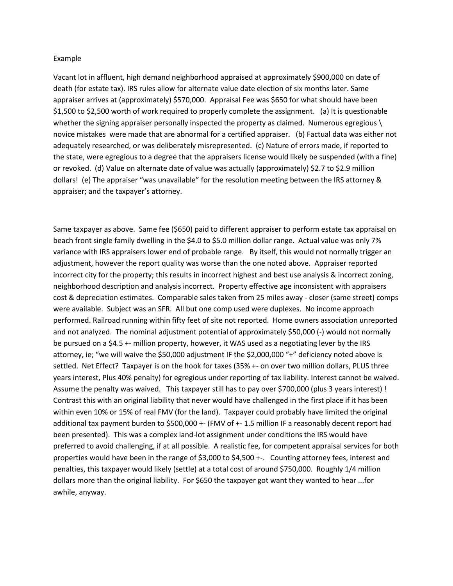## Example

Vacant lot in affluent, high demand neighborhood appraised at approximately \$900,000 on date of death (for estate tax). IRS rules allow for alternate value date election of six months later. Same appraiser arrives at (approximately) \$570,000. Appraisal Fee was \$650 for what should have been \$1,500 to \$2,500 worth of work required to properly complete the assignment. (a) It is questionable whether the signing appraiser personally inspected the property as claimed. Numerous egregious \ novice mistakes were made that are abnormal for a certified appraiser. (b) Factual data was either not adequately researched, or was deliberately misrepresented. (c) Nature of errors made, if reported to the state, were egregious to a degree that the appraisers license would likely be suspended (with a fine) or revoked. (d) Value on alternate date of value was actually (approximately) \$2.7 to \$2.9 million dollars! (e) The appraiser "was unavailable" for the resolution meeting between the IRS attorney & appraiser; and the taxpayer's attorney.

Same taxpayer as above. Same fee (\$650) paid to different appraiser to perform estate tax appraisal on beach front single family dwelling in the \$4.0 to \$5.0 million dollar range. Actual value was only 7% variance with IRS appraisers lower end of probable range. By itself, this would not normally trigger an adjustment, however the report quality was worse than the one noted above. Appraiser reported incorrect city for the property; this results in incorrect highest and best use analysis & incorrect zoning, neighborhood description and analysis incorrect. Property effective age inconsistent with appraisers cost & depreciation estimates. Comparable sales taken from 25 miles away - closer (same street) comps were available. Subject was an SFR. All but one comp used were duplexes. No income approach performed. Railroad running within fifty feet of site not reported. Home owners association unreported and not analyzed. The nominal adjustment potential of approximately \$50,000 (-) would not normally be pursued on a \$4.5 +- million property, however, it WAS used as a negotiating lever by the IRS attorney, ie; "we will waive the \$50,000 adjustment IF the \$2,000,000 "+" deficiency noted above is settled. Net Effect? Taxpayer is on the hook for taxes (35% +- on over two million dollars, PLUS three years interest, Plus 40% penalty) for egregious under reporting of tax liability. Interest cannot be waived. Assume the penalty was waived. This taxpayer still has to pay over \$700,000 (plus 3 years interest) ! Contrast this with an original liability that never would have challenged in the first place if it has been within even 10% or 15% of real FMV (for the land). Taxpayer could probably have limited the original additional tax payment burden to \$500,000 +- (FMV of +- 1.5 million IF a reasonably decent report had been presented). This was a complex land-lot assignment under conditions the IRS would have preferred to avoid challenging, if at all possible. A realistic fee, for competent appraisal services for both properties would have been in the range of \$3,000 to \$4,500 +-. Counting attorney fees, interest and penalties, this taxpayer would likely (settle) at a total cost of around \$750,000. Roughly 1/4 million dollars more than the original liability. For \$650 the taxpayer got want they wanted to hear ...for awhile, anyway.